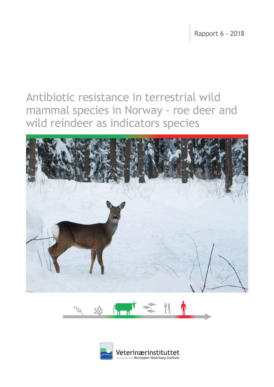$\frac{1}{2}$  Rapport 6 - 2018

# Antibiotic resistance in terrestrial wild mammal species in Norway - roe deer and wild reindeer as indicators species





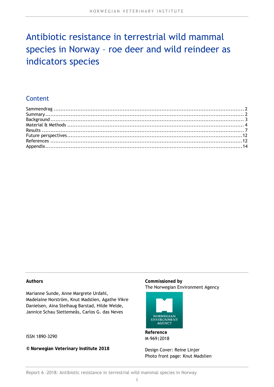# Antibiotic resistance in terrestrial wild mammal species in Norway – roe deer and wild reindeer as indicators species

# Content

#### **Authors**

Marianne Sunde, Anne Margrete Urdahl, Madelaine Norström, Knut Madslien, Agathe Vikre Danielsen, Aina Steihaug Barstad, Hilde Welde, Jannice Schau Slettemeås, Carlos G. das Neves

ISSN 1890-3290

**© Norwegian Veterinary Institute 2018** 

#### **Commissioned by**  The Norwegian Environment Agency



**Reference**  M-969|2018

Design Cover: Reine Linjer Photo front page: Knut Madslien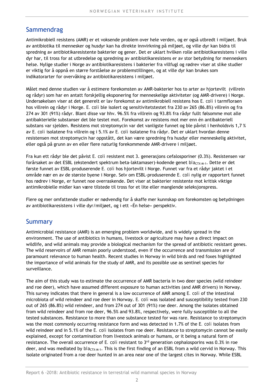# **Sammendrag**

Antimikrobiell resistens (AMR) er et voksende problem over hele verden, og er også utbredt i miljøet. Bruk av antibiotika til mennesker og husdyr kan ha direkte innvirkning på miljøet, og ville dyr kan bidra til spredning av antibiotikaresistente bakterier og gener. Det er uklart hvilken rolle antibiotikaresistens i ville dyr har, til tross for at utbredelse og spredning av antibiotikaresistens er av stor betydning for menneskers helse. Nylige studier i Norge av antibiotikaresistens i bakterier fra villfugl og rødrev viser at slike studier er viktig for å oppnå en større forståelse av problemstillingen, og at ville dyr kan brukes som indikatorarter for overvåking av antibiotikaresistens i miljøet.

Målet med denne studien var å estimere forekomsten av AMR-bakterier hos to arter av hjortevilt (villrein og rådyr) som har en antatt forskjellig eksponering for menneskelige aktiviteter (og AMR-drivere) i Norge. Undersøkelsen viser at det generelt er lav forekomst av antimikrobiell resistens hos *E. coli* i tarmfloraen hos villrein og rådyr i Norge. *E. coli* ble isolert og sensitivitetstestet fra 230 av 265 (86.8%) villrein og fra 274 av 301 (91%) rådyr. Blant disse var hhv. 96.5% fra villrein og 93.8% fra rådyr fullt følsomme mot alle antibakterielle substanser det ble testet mot. Forekomst av resistens mot mer enn én antibakteriell substans var sjelden. Resistens mot streptomycin var det vanligste funnet og ble påvist i henholdsvis 1,7 % av *E. coli* isolatene fra villrein og i 5.1% av *E. coli* isolatene fra rådyr. Det er uklart hvordan denne resistensen mot streptomycin har oppstått, det kan være spredning fra husdyr eller menneskelig aktivitet, eller også på grunn av en eller flere naturlig forekommende AMR-drivere i miljøet.

Fra kun ett rådyr ble det påvist *E. coli* resistent mot 3. generasjons cefalosporiner (0.3%). Resistensen var forårsaket av det ESBL (ekstendert spektrum beta-laktamaser)-kodende genet *bla*<sub>CTX-M-1</sub>. Dette er det første funnet av ESBL-produserende *E. coli* hos hjortevilt i Norge. Funnet var fra et rådyr jaktet i et område nær en av de største byene i Norge. Selv om ESBL-produserende *E. coli* nylig er rapportert funnet hos rødrev i Norge, er funnet noe overraskende. Det viser at bakterier resistente mot kritisk viktige antimikrobielle midler kan være tilstede til tross for et lite eller manglende seleksjonspress.

Flere og mer omfattende studier er nødvendig for å skaffe mer kunnskap om forekomsten og betydningen av antibiotikaresistens i ville dyr/miljøet, og i ett «Én helse» perspektiv.

### **Summary**

Antimicrobial resistance (AMR) is an emerging problem worldwide, and is widely spread in the environment. The use of antibiotics in humans, livestock or agriculture may have a direct impact on wildlife, and wild animals may provide a biological mechanism for the spread of antibiotic resistant genes. The wild reservoirs of AMR remain poorly understood, even if the occurrence and transmission are of paramount relevance to human health. Recent studies in Norway in wild birds and red foxes highlighted the importance of wild animals for the study of AMR, and its possible use as sentinel species for surveillance.

The aim of this study was to estimate the occurrence of AMR bacteria in two deer species (wild reindeer and roe deer), which have assumed different exposure to human activities (and AMR drivers) in Norway. This survey indicates that there in general is a low occurrence of AMR among *E. coli* of the intestinal microbiota of wild reindeer and roe deer in Norway. *E. coli* was isolated and susceptibility tested from 230 out of 265 (86.8%) wild reindeer, and from 274 out of 301 (91%) roe deer. Among the isolates obtained from wild reindeer and from roe deer, 96.5% and 93.8%, respectively, were fully susceptible to all the tested substances. Resistance to more than one substance tested for was rare. Resistance to streptomycin was the most commonly occurring resistance form and was detected in 1.7% of the *E. coli* isolates from wild reindeer and in 5.1% of the *E. coli* isolates from roe deer. Resistance to streptomycin cannot be easily explained, except for contamination from livestock animals or humans, or it being a natural form of resistance. The overall occurrence of *E. coli* resistant to 3<sup>rd</sup> generation cephalosporins was 0.3% in roe deer, and was mediated by *bla*<sub>CTX-M-1</sub>. This is the first finding of an ESBL from a wild cervid in Norway. This isolate originated from a roe deer hunted in an area near one of the largest cites in Norway. While ESBL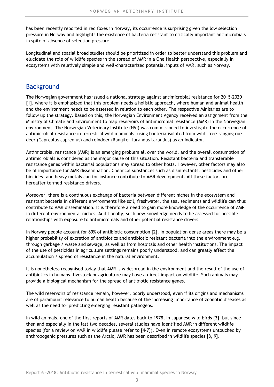has been recently reported in red foxes in Norway, its occurrence is surprising given the low selection pressure in Norway and highlights the existence of bacteria resistant to critically important antimicrobials in spite of absence of selection pressure.

Longitudinal and spatial broad studies should be prioritized in order to better understand this problem and elucidate the role of wildlife species in the spread of AMR in a One Health perspective, especially in ecosystems with relatively simple and well-characterized potential inputs of AMR, such as Norway.

## Background

The Norwegian government has issued a national strategy against antimicrobial resistance for 2015-2020 [1], where it is emphasized that this problem needs a holistic approach, where human and animal health and the environment needs to be assessed in relation to each other. The respective Ministries are to follow up the strategy. Based on this, the Norwegian Environment Agency received an assignment from the Ministry of Climate and Environment to map reservoirs of antimicrobial resistance (AMR) in the Norwegian environment. The Norwegian Veterinary Institute (NVI) was commissioned to investigate the occurrence of antimicrobial resistance in terrestrial wild mammals, using bacteria isolated from wild, free-ranging roe deer (*Capreolus capreolus*) and reindeer (*Rangifer tarandus tarandus*) as an indicator.

Antimicrobial resistance (AMR) is an emerging problem all over the world, and the overall consumption of antimicrobials is considered as the major cause of this situation. Resistant bacteria and transferable resistance genes within bacterial populations may spread to other hosts. However, other factors may also be of importance for AMR dissemination. Chemical substances such as disinfectants, pesticides and other biocides, and heavy metals can for instance contribute to AMR development. All these factors are hereafter termed resistance drivers.

Moreover, there is a continuous exchange of bacteria between different niches in the ecosystem and resistant bacteria in different environments like soil, freshwater, the sea, sediments and wildlife can thus contribute to AMR dissemination. It is therefore a need to gain more knowledge of the occurrence of AMR in different environmental niches. Additionally, such new knowledge needs to be assessed for possible relationships with exposure to antimicrobials and other potential resistance drivers.

In Norway people account for 89% of antibiotic consumption [2]. In population dense areas there may be a higher probability of excretion of antibiotics and antibiotic resistant bacteria into the environment e.g. through garbage / waste and sewage, as well as from hospitals and other health institutions. The impact of the use of pesticides in agriculture settings remains poorly understood, and can greatly affect the accumulation / spread of resistance in the natural environment.

It is nonetheless recognised today that AMR is widespread in the environment and the result of the use of antibiotics in humans, livestock or agriculture may have a direct impact on wildlife. Such animals may provide a biological mechanism for the spread of antibiotic resistance genes.

The wild reservoirs of resistance remain, however, poorly understood, even if its origins and mechanisms are of paramount relevance to human health because of the increasing importance of zoonotic diseases as well as the need for predicting emerging resistant pathogens.

In wild animals, one of the first reports of AMR dates back to 1978, in Japanese wild birds [3], but since then and especially in the last two decades, several studies have identified AMR in different wildlife species (for a review on AMR in wildlife please refer to [4-7]). Even in remote ecosystems untouched by anthropogenic pressures such as the Arctic, AMR has been described in wildlife species [8, 9].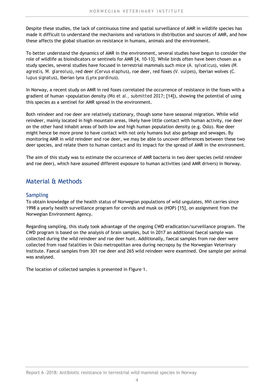Despite these studies, the lack of continuous time and spatial surveillance of AMR in wildlife species has made it difficult to understand the mechanisms and variations in distribution and sources of AMR, and how these affects the global situation on resistance in humans, animals and the environment.

To better understand the dynamics of AMR in the environment, several studies have begun to consider the role of wildlife as bioindicators or sentinels for AMR [4, 10-13]. While birds often have been chosen as a study species, several studies have focused in terrestrial mammals such mice (*A. sylvaticus*), voles (*M. agrestis, M. glareolus*), red deer (*Cervus elaphus*), roe deer, red foxes (*V. vulpes*), Iberian wolves (*C. lupus signatus*), Iberian lynx (*Lynx pardinus*).

In Norway, a recent study on AMR in red foxes correlated the occurrence of resistance in the foxes with a gradient of human +population density (*Mo et al., submitted 2017*; [14]), showing the potential of using this species as a sentinel for AMR spread in the environment.

Both reindeer and roe deer are relatively stationary, though some have seasonal migration. While wild reindeer, mainly located in high mountain areas, likely have little contact with human activity, roe deer on the other hand inhabit areas of both low and high human population density (e.g. Oslo). Roe deer might hence be more prone to have contact with not only humans but also garbage and sewages. By monitoring AMR in wild reindeer and roe deer, we may be able to uncover differences between these two deer species, and relate them to human contact and its impact for the spread of AMR in the environment.

The aim of this study was to estimate the occurrence of AMR bacteria in two deer species (wild reindeer and roe deer), which have assumed different exposure to human activities (and AMR drivers) in Norway.

# Material & Methods

#### Sampling

To obtain knowledge of the health status of Norwegian populations of wild ungulates, NVI carries since 1998 a yearly health surveillance program for cervids and musk ox (HOP) [15], on assignment from the Norwegian Environment Agency.

Regarding sampling, this study took advantage of the ongoing CWD eradication/surveillance program. The CWD program is based on the analysis of brain samples, but in 2017 an additional faecal sample was collected during the wild reindeer and roe deer hunt. Additionally, faecal samples from roe deer were collected from road fatalities in Oslo metropolitan area during necropsy by the Norwegian Veterinary Institute. Faecal samples from 301 roe deer and 265 wild reindeer were examined. One sample per animal was analysed.

The location of collected samples is presented in Figure 1.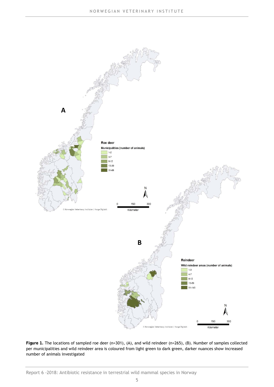

**Figure 1.** The locations of sampled roe deer (n=301), (A), and wild reindeer (n=265), (B). Number of samples collected per municipalities and wild reindeer area is coloured from light green to dark green, darker nuances show increased number of animals investigated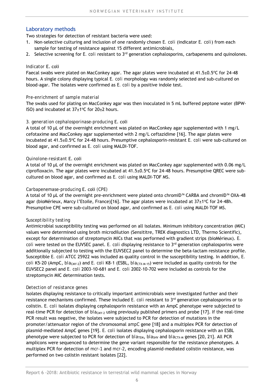#### Laboratory methods

Two strategies for detection of resistant bacteria were used:

- 1. Non-selective culturing and inclusion of one randomly chosen *E. coli* (indicator *E. coli*) from each sample for testing of resistance against 15 different antimicrobials,
- 2. Selective screening for *E. coli* resistant to 3rd generation cephalosporins, carbapenems and quinolones.

#### *Indicator* E. coli

Faecal swabs were plated on MacConkey agar. The agar plates were incubated at 41.5±0.5°C for 24-48 hours. A single colony displaying typical *E. coli* morphology was randomly selected and sub-cultured on blood-agar. The isolates were confirmed as *E. coli* by a positive indole test.

#### *Pre-enrichment of sample material*

The swabs used for plating on MacConkey agar was then inoculated in 5 mL buffered peptone water (BPW-ISO) and incubated at  $37\pm1^{\circ}$ C for  $20\pm2$  hours.

#### *3. generation cephalosporinase-producing* E. coli

A total of 10 µL of the overnight enrichment was plated on MacConkey agar supplemented with 1 mg/L cefotaxime and MacConkey agar supplemented with 2 mg/L ceftazidime [16]. The agar plates were incubated at 41.5±0.5oC for 24-48 hours. Presumptive cephalosporin-resistant *E. coli* were sub-cultured on blood agar, and confirmed as *E. coli* using MALDI-TOF.

#### *Quinolone-resistant* E. coli

A total of 10 µL of the overnight enrichment was plated on MacConkey agar supplemented with 0.06 mg/L ciprofloxacin. The agar plates were incubated at  $41.5\pm0.5\textdegree C$  for 24-48 hours. Presumptive QREC were subcultured on blood agar, and confirmed as *E. coli* using MALDI-TOF MS.

#### *Carbapenemase-producing* E. coli *(CPE)*

A total of 10 µL of the overnight pre-enrichment were plated onto chromID™ CARBA and chromID™ OXA-48 agar (bioMérieux, Marcy l'Etoile, France)[16]. The agar plates were incubated at  $37\pm1^{\circ}$ C for 24-48h. Presumptive CPE were sub-cultured on blood agar, and confirmed as *E. coli* using MALDI-TOF MS.

#### *Susceptibility testing*

Antimicrobial susceptibility testing was performed on all isolates. Minimum inhibitory concentration (MIC) values were determined using broth microdilution (Sensititre, TREK diagnostics LTD, Thermo Scientific), except for determination of streptomycin MICs that was performed with gradient strips (bioMérieux). *E. coli* were tested on the EUVSEC panel. *E. coli* displaying resistance to 3rd generation cephalosporins were additionally subjected to testing with the EUVSEC2 panel to determine the beta-lactam resistance profile. Susceptible *E. coli* ATCC 25922 was included as quality control in the susceptibility testing. In addition, *E. coli* K5-20 (AmpC, *bla*CMY-2) and *E. coli* K8-1 (ESBL, *bla*CTX-M-15) were included as quality controls for the EUVSEC2 panel and *E. coli* 2003-10-681 and *E. coli* 2002-10-702 were included as controls for the streptomycin MIC determination tests.

#### *Detection of resistance genes*

Isolates displaying resistance to critically important antimicrobials were investigated further and their resistance mechanisms confirmed. These included *E. coli* resistant to 3<sup>rd</sup> generation cephalosporins or to colistin. *E. coli* isolates displaying cephalosporin resistance with an AmpC phenotype were subjected to real-time PCR for detection of *bla*<sub>CMY-2</sub> using previously published primers and probe [17]. If the real-time PCR result was negative, the isolates were subjected to PCR for detection of mutations in the promoter/attenuator region of the chromosomal *ampC* gene [18] and a multiplex PCR for detection of plasmid-mediated AmpC genes [19]. *E. coli* isolates displaying cephalosporin resistance with an ESBL phenotype were subjected to PCR for detection of  $bla<sub>TEM</sub>$ ,  $bla<sub>SHV</sub>$  and  $bla<sub>CTX-M</sub>$  genes [20, 21]. All PCR amplicons were sequenced to determine the gene variant responsible for the resistance phenotypes. A multiplex PCR for detection of *mcr-1* and *mcr-2*, encoding plasmid-mediated colistin resistance, was performed on two colistin resistant isolates [22].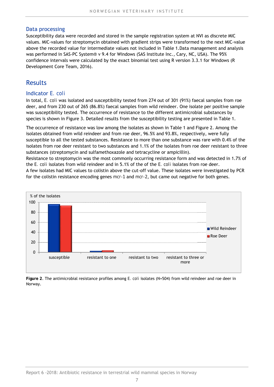#### Data processing

Susceptibility data were recorded and stored in the sample registration system at NVI as discrete MIC values. MIC-values for streptomycin obtained with gradient strips were transformed to the next MIC-value above the recorded value for intermediate values not included in Table 1.Data management and analysis was performed in SAS-PC System® v 9.4 for Windows (SAS Institute Inc., Cary, NC, USA). The 95% confidence intervals were calculated by the exact binomial test using R version 3.3.1 for Windows (R Development Core Team, 2016).

# Results

#### Indicator *E. coli*

In total, *E. coli* was isolated and susceptibility tested from 274 out of 301 (91%) faecal samples from roe deer, and from 230 out of 265 (86.8%) faecal samples from wild reindeer. One isolate per positive sample was susceptibility tested. The occurrence of resistance to the different antimicrobial substances by species is shown in Figure 3. Detailed results from the susceptibility testing are presented in Table 1.

The occurrence of resistance was low among the isolates as shown in Table 1 and Figure 2. Among the isolates obtained from wild reindeer and from roe deer, 96.5% and 93.8%, respectively, were fully susceptible to all the tested substances. Resistance to more than one substance was rare with 0.4% of the isolates from roe deer resistant to two substances and 1.1% of the isolates from roe deer resistant to three substances (streptomycin and sulfamethoxazole and tetracycline or ampicillin).

Resistance to streptomycin was the most commonly occurring resistance form and was detected in 1.7% of the *E. coli* isolates from wild reindeer and in 5.1% of the of the *E. coli* isolates from roe deer.

A few isolates had MIC values to colistin above the cut-off value. These isolates were investigated by PCR for the colistin resistance encoding genes *mcr-1* and *mcr-2*, but came out negative for both genes.



**Figure 2**. The antimicrobial resistance profiles among *E. coli* isolates (N=504) from wild reindeer and roe deer in Norway.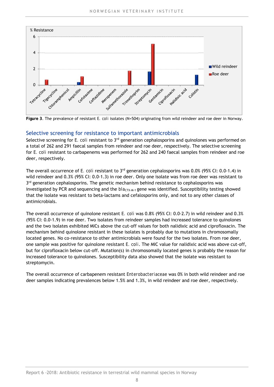

**Figure 3**. The prevalence of resistant *E. coli* isolates (N=504) originating from wild reindeer and roe deer in Norway.

#### Selective screening for resistance to important antimicrobials

Selective screening for *E. coli* resistant to 3rd generation cephalosporins and quinolones was performed on a total of 262 and 291 faecal samples from reindeer and roe deer, respectively. The selective screening for *E. coli* resistant to carbapenems was performed for 262 and 240 faecal samples from reindeer and roe deer, respectively.

The overall occurrence of *E. coli* resistant to 3rd generation cephalosporins was 0.0% (95% CI: 0.0-1.4) in wild reindeer and 0.3% (95% CI: 0.0-1.3) in roe deer. Only one isolate was from roe deer was resistant to  $3<sup>rd</sup>$  generation cephalosporins. The genetic mechanism behind resistance to cephalosporins was investigated by PCR and sequencing and the  $bla_{\text{CTX-M-1}}$  gene was identified. Susceptibility testing showed that the isolate was resistant to beta-lactams and cefalosporins only, and not to any other classes of antimicrobials.

The overall occurrence of quinolone resistant *E. coli* was 0.8% (95% CI: 0.0-2.7) in wild reindeer and 0.3% (95% CI: 0.0-1.9) in roe deer. Two isolates from reindeer samples had increased tolerance to quinolones and the two isolates exhibited MICs above the cut-off values for both nalidixic acid and ciprofloxacin. The mechanism behind quinolone resistant in these isolates is probably due to mutations in chromosomally located genes. No co-resistance to other antimicrobials were found for the two isolates. From roe deer, one sample was positive for quinolone resistant *E. coli*. The MIC value for nalidixic acid was above cut-off, but for ciprofloxacin below cut-off. Mutation(s) in chromosomally located genes is probably the reason for increased tolerance to quinolones. Susceptibility data also showed that the isolate was resistant to streptomycin.

The overall occurrence of carbapenem resistant *Enterobacteriaceae* was 0% in both wild reindeer and roe deer samples indicating prevalences below 1.5% and 1.3%, in wild reindeer and roe deer, respectively.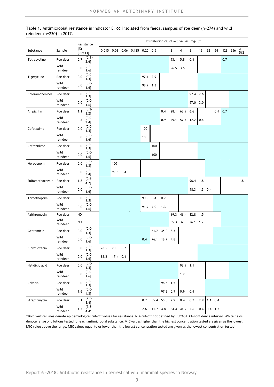|                           | Table 1. Antimicrobial resistance in indicator <i>E. coli</i> isolated from faecal samples of roe deer (n=274) and wild |  |  |  |
|---------------------------|-------------------------------------------------------------------------------------------------------------------------|--|--|--|
| reindeer (n=230) in 2017. |                                                                                                                         |  |  |  |

|                  |                      |                    | Resistance       | Distribution (%) of MIC values (mg/L)* |          |  |                                |          |          |                |          |               |                    |     |               |                 |            |         |          |
|------------------|----------------------|--------------------|------------------|----------------------------------------|----------|--|--------------------------------|----------|----------|----------------|----------|---------------|--------------------|-----|---------------|-----------------|------------|---------|----------|
| Substance        | Sample               | $(\%)$<br>[95% CI] |                  |                                        |          |  | 0.015 0.03 0.06 0.125 0.25 0.5 |          |          | $\overline{1}$ | 2        | 4             | 8                  | 16  | 32            | 64              |            | 128 256 | 2<br>512 |
| Tetracycline     | Roe deer             | 0.7                | $[0.1 -$<br>2.6] |                                        |          |  |                                |          |          |                | 93.1 5.8 |               | 0.4                |     |               |                 | 0.7        |         |          |
|                  | Wild<br>reindeer     | 0.0                | $[0.0 -$<br>1.6] |                                        |          |  |                                |          |          |                | 96.5 3.5 |               |                    |     |               |                 |            |         |          |
| Tigecycline      | Roe deer             | 0.0                | $[0.0 -$<br>1.3] |                                        |          |  |                                | 97.1 2.9 |          |                |          |               |                    |     |               |                 |            |         |          |
|                  | Wild<br>reindeer     | 0.0                | $[0.0 -$<br>1.6] |                                        |          |  |                                | 98.7 1.3 |          |                |          |               |                    |     |               |                 |            |         |          |
| Chloramphenicol  | Roe deer             | 0.0                | $[0.0 -$<br>1.3] |                                        |          |  |                                |          |          |                |          |               | 97.4 2.6           |     |               |                 |            |         |          |
|                  | Wild<br>reindeer     | 0.0                | $[0.0 -$<br>1.6] |                                        |          |  |                                |          |          |                |          |               | 97.0 3.0           |     |               |                 |            |         |          |
| Ampicillin       | Roe deer             | 1.1                | $[0.2 -$<br>3.2] |                                        |          |  |                                |          |          | 0.4            | 28.1     | 63.9          | 6.6                |     |               |                 | $0.4\ 0.7$ |         |          |
|                  | Wild<br>reindeer     | 0.4                | $[0.0 -$<br>2.4] |                                        |          |  |                                |          |          | 0.9            |          |               | 29.1 57.4 12.2     | 0.4 |               |                 |            |         |          |
| Cefotaxime       | Roe deer             | 0.0                | $[0.0 -$<br>1.3] |                                        |          |  |                                | 100      |          |                |          |               |                    |     |               |                 |            |         |          |
|                  | Wild                 | 0.0                | $[0.0 -$         |                                        |          |  |                                | 100      |          |                |          |               |                    |     |               |                 |            |         |          |
| Ceftazidime      | reindeer<br>Roe deer | 0.0                | 1.6]<br>$[0.0 -$ |                                        |          |  |                                |          | 100      |                |          |               |                    |     |               |                 |            |         |          |
|                  | Wild                 | 0.0                | 1.3]<br>$[0.0 -$ |                                        |          |  |                                |          | 100      |                |          |               |                    |     |               |                 |            |         |          |
|                  | reindeer             |                    | 1.6]<br>$[0.0 -$ |                                        |          |  |                                |          |          |                |          |               |                    |     |               |                 |            |         |          |
| Meropenem        | Roe deer<br>Wild     | 0.0                | 1.3]<br>$[0.0 -$ |                                        | 100      |  |                                |          |          |                |          |               |                    |     |               |                 |            |         |          |
|                  | reindeer             | 0.0                | 2.4]             |                                        | 99.6 0.4 |  |                                |          |          |                |          |               |                    |     |               |                 |            |         |          |
| Sulfamethoxazole | Roe deer             | 1.8                | $[0.6 -$<br>4.2] |                                        |          |  |                                |          |          |                |          |               | 96.4 1.8           |     |               |                 |            |         | 1.8      |
|                  | Wild<br>reindeer     | 0.0                | $[0.0 -$<br>1.6] |                                        |          |  |                                |          |          |                |          |               | 98.3 1.3 0.4       |     |               |                 |            |         |          |
| Trimethoprim     | Roe deer             | 0.0                | $[0.0 -$<br>1.3] |                                        |          |  |                                | 90.9 8.4 |          | 0.7            |          |               |                    |     |               |                 |            |         |          |
|                  | Wild<br>reindeer     | 0.0                | $[0.0 -$<br>1.6] |                                        |          |  |                                | 91.7 7.0 |          | 1.3            |          |               |                    |     |               |                 |            |         |          |
| Azithromycin     | Roe deer             | ND                 |                  |                                        |          |  |                                |          |          |                | 19.3     |               | 46.4 32.8 1.5      |     |               |                 |            |         |          |
|                  | Wild<br>reindeer     | ND                 |                  |                                        |          |  |                                |          |          |                |          |               | 35.3 37.0 26.1 1.7 |     |               |                 |            |         |          |
| Gentamicin       | Roe deer             | 0.0                | $[0.0 -$<br>1.3] |                                        |          |  |                                |          |          | 61.7 35.0      | 3.3      |               |                    |     |               |                 |            |         |          |
|                  | Wild<br>reindeer     | 0.0                | $[0.0 -$<br>1.6] |                                        |          |  |                                | 0.4      |          | 76.1 18.7 4.8  |          |               |                    |     |               |                 |            |         |          |
| Ciprofloxacin    | Roe deer             | 0.0                | $[0.0 -$<br>1.3] | 78.5                                   | 20.8 0.7 |  |                                |          |          |                |          |               |                    |     |               |                 |            |         |          |
|                  | Wild<br>reindeer     | 0.0                | $[0.0 -$         | 82.2                                   | 17.4 0.4 |  |                                |          |          |                |          |               |                    |     |               |                 |            |         |          |
| Nalidixic acid   | Roe deer             | 0.0                | 1.6]<br>$[0.0 -$ |                                        |          |  |                                |          |          |                |          | 98.9 1.1      |                    |     |               |                 |            |         |          |
|                  | Wild                 | 0.0                | 1.3]<br>$[0.0 -$ |                                        |          |  |                                |          |          |                |          | 100           |                    |     |               |                 |            |         |          |
|                  | reindeer             |                    | 1.6]<br>$[0.0 -$ |                                        |          |  |                                |          |          |                |          |               |                    |     |               |                 |            |         |          |
| Colistin         | Roe deer<br>Wild     | 0.0                | 1.3]<br>$[0.0 -$ |                                        |          |  |                                |          |          | 98.5 1.5       |          |               |                    |     |               |                 |            |         |          |
|                  | reindeer             | 1.6                | 4.3]             |                                        |          |  |                                |          |          | 97.8 0.9       |          | 0.9           | 0.4                |     |               |                 |            |         |          |
| Streptomycin     | Roe deer             | 5.1                | $[2.8 -$<br>8.4] |                                        |          |  |                                | 0.7      | 35.4     | 55.5           | 2.9      | 0.4           | 0.7                | 2.9 |               | $1.1 \quad 0.4$ |            |         |          |
|                  | Wild<br>reindeer     | 1.7                | $[2.8 -$<br>4.41 |                                        |          |  |                                | 2.6      | 11.7 4.8 |                |          | 34.4 41.7 2.6 |                    |     | $0.4$ 0.4 1.3 |                 |            |         |          |

\*Bold vertical lines denote epidemiological cut-off values for resistance. ND=cut-off not defined by EUCAST. CI=confidence interval. White fields denote range of dilutions tested for each antimicrobial substance. MIC values higher than the highest concentration tested are given as the lowest MIC value above the range. MIC values equal to or lower than the lowest concentration tested are given as the lowest concentration tested.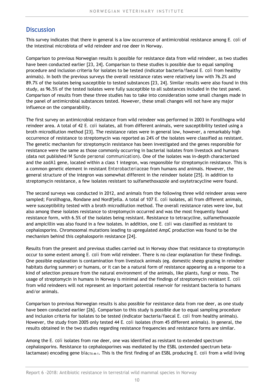# **Discussion**

This survey indicates that there in general is a low occurrence of antimicrobial resistance among *E. coli* of the intestinal microbiota of wild reindeer and roe deer in Norway.

Comparison to previous Norwegian results is possible for resistance data from wild reindeer, as two studies have been conducted earlier [23, 24]. Comparison to these studies is possible due to equal sampling procedure and inclusion criteria for isolates to be tested (indicator bacteria/faecal *E. coli* from healthy animals). In both the previous surveys the overall resistance rates were relatively low with 76.2% and 89.7% of the isolates being susceptible to tested substances [23, 24]. Similar results were also found in this study, as 96.5% of the tested isolates were fully susceptible to all substances included in the test panel. Comparison of results from these three studies has to take into consideration some small changes made in the panel of antimicrobial substances tested. However, these small changes will not have any major influence on the comparability.

The first survey on antimicrobial resistance from wild reindeer was performed in 2003 in Forollhogna wild reindeer area. A total of 42 *E. coli* isolates, all from different animals, were susceptibility tested using a broth microdilution method [23]. The resistance rates were in general low, however, a remarkably high occurrence of resistance to streptomycin was reported as 24% of the isolates were classified as resistant. The genetic mechanism for streptomycin resistance has been investigated and the genes responsible for resistance were the same as those commonly occurring in bacterial isolates from livestock and humans (data not published/*M Sunde personal communication*). One of the isolates was in-depth characterized and the *aadA1* gene, located within a class 1 integron, was responsible for streptomycin resistance. This is a common genetic element in resistant *Enterobacteriaceae* from humans and animals. However, the general structure of the integron was somewhat different in the reindeer isolate [25]. In addition to streptomycin resistance, a few isolates resistant to sulfamethoxazole and oxytetracycline were found.

The second surveys was conducted in 2012, and animals from the following three wild reindeer areas were sampled; Forollhogna, Rondane and Nordfjella. A total of 107 *E. coli* isolates, all from different animals, were susceptibility tested with a broth microdilution method. The overall resistance rates were low, but also among these isolates resistance to streptomycin occurred and was the most frequently found resistance form, with 6.5% of the isolates being resistant. Resistance to tetracycline, sulfamethoxazole and ampicillin was also found in a few isolates. In addition, one *E. coli* was classified as resistant to cephalosporins. Chromosomal mutations leading to upregulated AmpC production was found to be the mechanism behind this cephalosporin resistance [24].

Results from the present and previous studies carried out in Norway show that resistance to streptomycin occur to some extent among *E. coli* from wild reindeer. There is no clear explanation for these findings. One possible explanation is contamination from livestock animals (eg. domestic sheep grazing in reindeer habitats during summer) or humans, or it can be a natural form of resistance appearing as a response to a kind of selection pressure from the natural environment of the animals, like plants, fungi or moss. The usage of streptomycin in humans in Norway is minimal and the findings of streptomycin resistant *E. coli* from wild reindeers will not represent an important potential reservoir for resistant bacteria to humans and/or animals.

Comparison to previous Norwegian results is also possible for resistance data from roe deer, as one study have been conducted earlier [26]. Comparison to this study is possible due to equal sampling procedure and inclusion criteria for isolates to be tested (indicator bacteria/faecal *E. coli* from healthy animals). However, the study from 2005 only tested 44 *E. coli* isolates (from 45 different animals). In general, the results obtained in the two studies regarding resistance frequencies and resistance forms are similar.

Among the *E. coli* isolates from roe deer, one was identified as resistant to extended spectrum cephalosporins. Resistance to cephalosporines was mediated by the ESBL (extended spectrum betalactamase) encoding gene *bla*<sub>CTX-M-1</sub>. This is the first finding of an ESBL producing *E. coli* from a wild living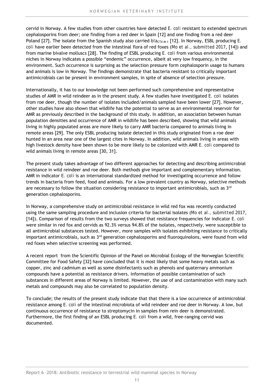cervid in Norway. A few studies from other countries have detected *E. coli* resistant to extended spectrum cephalosporins from deer; one finding from a red deer in Spain [12] and one finding from a red deer Poland [27]. The isolate from the Spanish study also carried  $b/a_{\text{CTX-M-1}}$  [12]. In Norway, ESBL producing *E. coli* have earlier been detected from the intestinal flora of red foxes (*Mo et al., submitted 2017*, [14]) and from marine bivalve molluscs [28]. The finding of ESBL producing *E. coli* from various environmental niches in Norway indicates a possible "endemic" occurrence, albeit at very low frequency, in the environment. Such occurrence is surprising as the selection pressure form cephalosporin usage to humans and animals is low in Norway. The findings demonstrate that bacteria resistant to critically important antimicrobials can be present in environment samples, in spite of absence of selection pressure.

Internationally, it has to our knowledge not been performed such comprehensive and representative studies of AMR in wild reindeer as in the present study. A few studies have investigated *E. coli* isolates from roe deer, though the number of isolates included/animals sampled have been lower [27]. However, other studies have also shown that wildlife has the potential to serve as an environmental reservoir for AMR as previously described in the background of this study. In addition, an association between human population densities and occurrence of AMR in wildlife has been described, showing that wild animals living in highly populated areas are more likely to carry AMR bacteria compared to animals living in remote areas [29]. The only ESBL producing isolate detected in this study originated from a roe deer hunted in an area near one of the largest cites in Norway. In addition, wild animals living in areas with high livestock density have been shown to be more likely to be colonized with AMR *E. coli* compared to wild animals living in remote areas [30, 31].

The present study takes advantage of two different approaches for detecting and describing antimicrobial resistance in wild reindeer and roe deer. Both methods give important and complementary information. AMR in indicator *E. coli* is an international standardized method for investigating occurrence and follow trends in bacteria from feed, food and animals. For a low prevalent country as Norway, selective methods are necessary to follow the situation considering resistance to important antimicrobials, such as 3rd generation cephalosporins.

In Norway, a comprehensive study on antimicrobial resistance in wild red fox was recently conducted using the same sampling procedure and inclusion criteria for bacterial isolates (*Mo et al., submitted 2017*, [14]). Comparison of results from the two surveys showed that resistance frequencies for indicator *E. coli* were similar in red fox and cervids as 92.3% versus 94.8% of the isolates, respectively, were susceptible to all antimicrobial substances tested. However, more samples with isolates exhibiting resistance to critically important antimicrobials, such as  $3<sup>rd</sup>$  generation cephalosporins and fluoroquinolons, were found from wild red foxes when selective screening was performed.

A recent report from the Scientific Opinion of the Panel on Microbial Ecology of the Norwegian Scientific Committee for Food Safety [32] have concluded that it is most likely that some heavy metals such as copper, zinc and cadmium as well as some disinfectants such as phenols and quaternary ammonium compounds have a potential as resistance drivers. Information of possible contamination of such substances in different areas of Norway is limited. However, the use of and contamination with many such metals and compounds may also be correlated to population density.

To conclude; the results of the present study indicate that that there is a low occurrence of antimicrobial resistance among *E. coli* of the intestinal microbiota of wild reindeer and roe deer in Norway. A low, but continuous occurrence of resistance to streptomycin in samples from rein deer is demonstrated. Furthermore, the first finding of an ESBL producing *E. coli* from a wild, free-ranging cervid was documented.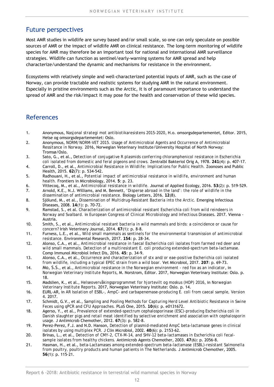# Future perspectives

Most AMR studies in wildlife are survey based and/or small scale, so one can only speculate on possible sources of AMR or the impact of wildlife AMR on clinical resistance. The long-term monitoring of wildlife species for AMR may therefore be an important tool for national and international AMR surveillance strategies. Wildlife can function as sentinel/early-warning systems for AMR spread and help characterize/understand the dynamic and mechanisms for resistance in the environment.

Ecosystems with relatively simple and well-characterized potential inputs of AMR, such as the case of Norway, can provide tractable and realistic systems for studying AMR in the natural environment. Especially in pristine environments such as the Arctic, it is of paramount importance to understand the spread of AMR and the risk/impact it may pose for the health and conservation of these wild species.

# References

- 1. Anonymous, *Nasjonal strategi mot antibiotikaresistens 2015-2020*, H.o. omsorgsdepartementet, Editor. 2015, Helse og omsorgsdepartementet: Oslo.
- 2. Anonymous, *NORM/NORM-VET 2015. Usage of Antimicrobial Agents and Occurrence of Antimicrobial Ressitance in Norway.* 2016, Norwegian Veterinary Institute/University Hospital of North Norway: Tromsø/Oslo.
- 3. Sato, G., et al., *Detection of conjugative R plasmids conferring chloramphenicol resistance in Escherichia*
- *coli isolated from domestic and feral pigeons and crows.* Zentralbl Bakteriol Orig A, 1978. **241**(4): p. 407-17. 4. Carroll, D., et al., *Antimicrobial Resistance in Wildlife: Implications for Public Health.* Zoonoses and Public Health, 2015. **62**(7): p. 534-542.
- 5. Radhouani, H., et al., *Potential impact of antimicrobial resistance in wildlife, environment and human health.* Frontiers in Microbiology, 2014. **5**: p. 23.
- 6. Vittecoq, M., et al., *Antimicrobial resistance in wildlife.* Journal of Applied Ecology, 2016. **53**(2): p. 519-529.
- 7. Arnold, K.E., N.J. Williams, and M. Bennett, *'Disperse abroad in the land': the role of wildlife in the dissemination of antimicrobial resistance.* Biology Letters, 2016. **12**(8).
- 8. Sjölund, M., et al., *Dissemination of Multidrug-Resistant Bacteria into the Arctic.* Emerging Infectious Diseases, 2008. **14**(1): p. 70-72.
- 9. Ramstad, S., et al. *Characterization of antimicrobial resistant Escherichia coli from wild reindeers in Norway and Svalbard.* in *European Congress of Clinical Microbiology and Infectious Diseases*. 2017. Vienna - Austria.
- 10. Smith, S., et al., *Antimicrobial resistant bacteria in wild mammals and birds: a coincidence or cause for concern?* Irish Veterinary Journal, 2014. **67**(1): p. 8-8.
- 11. Furness, L.E., et al., *Wild small mammals as sentinels for the environmental transmission of antimicrobial resistance.* Environmental Research, 2017. **154**: p. 28-34.
- 12. Alonso, C.A., et al., *Antimicrobial resistance in faecal Escherichia coli isolates from farmed red deer and wild small mammals. Detection of a multiresistant E. coli producing extended-spectrum beta-lactamase.* Comp Immunol Microbiol Infect Dis, 2016. **45**: p. 34-9.
- 13. Alonso, C.A., et al., *Occurrence and characterization of stx and/or eae-positive Escherichia coli isolated from wildlife, including a typical EPEC strain from a wild boar.* Vet Microbiol, 2017. **207**: p. 69-73.
- 14. Mo, S.S., et al., *Antimicrobial resistance in the Norwegian environment red fox as an indicator*, in *Norwegian Veterinary Institute Reports*, M. Norstrom, Editor. 2017, Norwegian Veterinary Institute: Oslo. p. 18.
- 15. Madslien, K., et al., *Helseovervåkingsprogrammet for hjortevilt og moskus (HOP) 2016*, in *Norwegian Veterinary Institute Reports*. 2017, Norwegian Veterinary Institute: Oslo. p. 14.
- 16. EURL-AR, in *AR Isolation of ESBL-, AmpC- and carbapenemase-producing E. coli from caecal sample, Version 4*. 2017.
- 17. Schmidt, G.V., et al., *Sampling and Pooling Methods for Capturing Herd Level Antibiotic Resistance in Swine Feces using qPCR and CFU Approaches.* PLoS One, 2015. **10**(6): p. e0131672.
- 18. Agerso, Y., et al., *Prevalence of extended-spectrum cephalosporinase (ESC)-producing Escherichia coli in Danish slaughter pigs and retail meat identified by selective enrichment and association with cephalosporin usage.* J Antimicrob Chemother, 2012. **67**(3): p. 582-8.
- 19. Perez-Perez, F.J. and N.D. Hanson, *Detection of plasmid-mediated AmpC beta-lactamase genes in clinical isolates by using multiplex PCR.* J Clin Microbiol, 2002. **40**(6): p. 2153-62.
- 20. Brinas, L., et al., *Detection of CMY-2, CTX-M-14, and SHV-12 beta-lactamases in Escherichia coli fecalsample isolates from healthy chickens.* Antimicrob Agents Chemother, 2003. **47**(6): p. 2056-8.
- 21. Hasman, H., et al., *beta-Lactamases among extended-spectrum beta-lactamase (ESBL)-resistant Salmonella from poultry, poultry products and human patients in The Netherlands.* J Antimicrob Chemother, 2005. **56**(1): p. 115-21.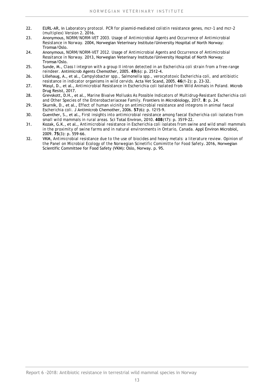- 22. EURL-AR, in *Laboratory protocol. PCR for plasmid-mediated colistin resistance genes, mcr-1 and mcr-2 (multiplex) Version 2*. 2016.
- 23. Anonymous, *NORM/NORM-VET 2003. Usage of Antimicrobial Agents and Occurrence of Antimicrobial Resistance in Norway.* 2004, Norwegian Veterinary Institute/University Hospital of North Norway: Tromsø/Oslo.
- 24. Anonymous, *NORM/NORM-VET 2012. Usage of Antimicrobial Agents and Occurrence of Antimicrobial Ressitance in Norway.* 2013, Norwegian Veterinary Institute/University Hospital of North Norway: Tromsø/Oslo.
- 25. Sunde, M., *Class I integron with a group II intron detected in an Escherichia coli strain from a free-range reindeer.* Antimicrob Agents Chemother, 2005. **49**(6): p. 2512-4.
- 26. Lillehaug, A., et al., *Campylobacter spp., Salmonella spp., verocytotoxic Escherichia coli, and antibiotic resistance in indicator organisms in wild cervids.* Acta Vet Scand, 2005. **46**(1-2): p. 23-32.
- 27. Wasyl, D., et al., *Antimicrobial Resistance in Escherichia coli Isolated from Wild Animals in Poland.* Microb Drug Resist, 2017.
- 28. Grevskott, D.H., et al., *Marine Bivalve Mollusks As Possible Indicators of Multidrug-Resistant Escherichia coli and Other Species of the Enterobacteriaceae Family.* Frontiers in Microbiology, 2017. **8**: p. 24.
- 29. Skurnik, D., et al., *Effect of human vicinity on antimicrobial resistance and integrons in animal faecal Escherichia coli.* J Antimicrob Chemother, 2006. **57**(6): p. 1215-9.
- 30. Guenther, S., et al., *First insights into antimicrobial resistance among faecal Escherichia coli isolates from small wild mammals in rural areas.* Sci Total Environ, 2010. **408**(17): p. 3519-22.
- 31. Kozak, G.K., et al., *Antimicrobial resistance in Escherichia coli isolates from swine and wild small mammals in the proximity of swine farms and in natural environments in Ontario, Canada.* Appl Environ Microbiol, 2009. **75**(3): p. 559-66.
- 32. VKM, *Antimicrobial resistance due to the use of biocides and heavy metals: a literature review. Opinion of the Panel on Microbial Ecology of the Norwegian Scinetific Comimitte for Food Safety*. 2016, Norwegian Scientific Committee for Food Safety (VKM): Oslo, Norway. p. 95.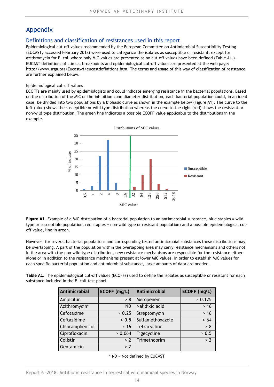# Appendix

#### Definitions and classification of resistances used in this report

Epidemiological cut-off values recommended by the European Committee on Antimicrobial Susceptibility Testing (EUCAST, accessed February 2018) were used to categorize the isolates as susceptible or resistant, except for azithromycin for *E. coli* where only MIC-values are presented as no cut-off values have been defined (Table A1.). EUCAST definitions of clinical breakpoints and epidemiological cut-off values are presented at the web page: http://www.srga.org/Eucastwt/eucastdefinitions.htm. The terms and usage of this way of classification of resistance are further explained below.

#### *Epidemiological cut-off values*

ECOFFs are mainly used by epidemiologists and could indicate emerging resistance in the bacterial populations. Based on the distribution of the MIC or the inhibition zone diameter distribution, each bacterial population could, in an ideal case, be divided into two populations by a biphasic curve as shown in the example below (Figure A1). The curve to the left (blue) shows the susceptible or wild type distribution whereas the curve to the right (red) shows the resistant or non-wild type distribution. The green line indicates a possible ECOFF value applicable to the distributions in the example.



**Figure A1**. Example of a MIC-distribution of a bacterial population to an antimicrobial substance, blue staples = wild type or susceptible population, red staples = non-wild type or resistant population) and a possible epidemiological cutoff value, line in green.

However, for several bacterial populations and corresponding tested antimicrobial substances these distributions may be overlapping. A part of the population within the overlapping area may carry resistance mechanisms and others not. In the area with the non-wild type distribution, new resistance mechanisms are responsible for the resistance either alone or in addition to the resistance mechanisms present at lower MIC values. In order to establish MIC values for each specific bacterial population and antimicrobial substance, large amounts of data are needed.

**Table A1.** The epidemiological cut-off values (ECOFFs) used to define the isolates as susceptible or resistant for each substance included in the *E. coli* test panel.

| Antimicrobial   | ECOFF (mg/L) | Antimicrobial    | ECOFF (mg/L)   |
|-----------------|--------------|------------------|----------------|
| Ampicillin      | > 8          | Meropenem        | $\sqrt{$ 0.125 |
| Azithromycin*   | <b>ND</b>    | Nalidixic acid   | $>16$          |
| Cefotaxime      | > 0.25       | Streptomycin     | $>16$          |
| Ceftazidime     | > 0.5        | Sulfamethoxazole | > 64           |
| Chloramphenicol | $>16$        | Tetracycline     | > 8            |
| Ciprofloxacin   | > 0.064      | Tigecycline      | > 0.5          |
| Colistin        | > 2          | Trimethoprim     | > 2            |
| Gentamicin      | > 2          |                  |                |

\* ND = Not defined by EUCAST